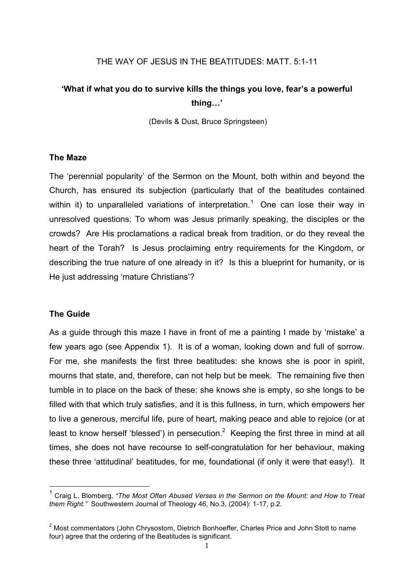## THE WAY OF JESUS IN THE BEATITUDES: MATT. 5:1-11

# **'What if what you do to survive kills the things you love, fear's a powerful thing…'**

(Devils & Dust, Bruce Springsteen)

## **The Maze**

The 'perennial popularity' of the Sermon on the Mount, both within and beyond the Church, has ensured its subjection (particularly that of the beatitudes contained within it) to unparalleled variations of interpretation.<sup>1</sup> One can lose their way in unresolved questions: To whom was Jesus primarily speaking, the disciples or the crowds? Are His proclamations a radical break from tradition, or do they reveal the heart of the Torah? Is Jesus proclaiming entry requirements for the Kingdom, or describing the true nature of one already in it? Is this a blueprint for humanity, or is He just addressing 'mature Christians'?

## **The Guide**

As a guide through this maze I have in front of me a painting I made by 'mistake' a few years ago (see Appendix 1). It is of a woman, looking down and full of sorrow. For me, she manifests the first three beatitudes: she knows she is poor in spirit, mourns that state, and, therefore, can not help but be meek. The remaining five then tumble in to place on the back of these: she knows she is empty, so she longs to be filled with that which truly satisfies, and it is this fullness, in turn, which empowers her to live a generous, merciful life, pure of heart, making peace and able to rejoice (or at least to know herself 'blessed') in persecution.<sup>2</sup> Keeping the first three in mind at all times, she does not have recourse to self-congratulation for her behaviour, making these three 'attitudinal' beatitudes, for me, foundational (if only it were that easy!). It

 <sup>1</sup> Craig L. Blomberg, *"The Most Often Abused Verses in the Sermon on the Mount: and How to Treat them Right."* Southwestern Journal of Theology 46, No.3, (2004): 1-17, p.2.

 $2$  Most commentators (John Chrysostom, Dietrich Bonhoeffer, Charles Price and John Stott to name four) agree that the ordering of the Beatitudes is significant.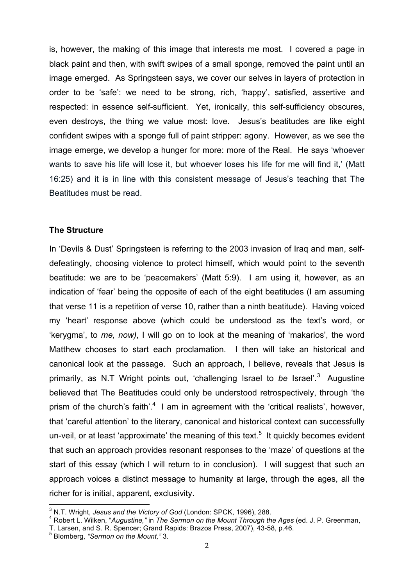is, however, the making of this image that interests me most. I covered a page in black paint and then, with swift swipes of a small sponge, removed the paint until an image emerged. As Springsteen says, we cover our selves in layers of protection in order to be 'safe': we need to be strong, rich, 'happy', satisfied, assertive and respected: in essence self-sufficient. Yet, ironically, this self-sufficiency obscures, even destroys, the thing we value most: love. Jesus's beatitudes are like eight confident swipes with a sponge full of paint stripper: agony. However, as we see the image emerge, we develop a hunger for more: more of the Real. He says 'whoever wants to save his life will lose it, but whoever loses his life for me will find it,' (Matt 16:25) and it is in line with this consistent message of Jesus's teaching that The Beatitudes must be read.

#### **The Structure**

In 'Devils & Dust' Springsteen is referring to the 2003 invasion of Iraq and man, selfdefeatingly, choosing violence to protect himself, which would point to the seventh beatitude: we are to be 'peacemakers' (Matt 5:9). I am using it, however, as an indication of 'fear' being the opposite of each of the eight beatitudes (I am assuming that verse 11 is a repetition of verse 10, rather than a ninth beatitude). Having voiced my 'heart' response above (which could be understood as the text's word, or 'kerygma', to *me, now)*, I will go on to look at the meaning of 'makarios', the word Matthew chooses to start each proclamation. I then will take an historical and canonical look at the passage. Such an approach, I believe, reveals that Jesus is primarily, as N.T Wright points out, 'challenging Israel to be Israel'.<sup>3</sup> Augustine believed that The Beatitudes could only be understood retrospectively, through 'the prism of the church's faith'. $4\,$  I am in agreement with the 'critical realists', however, that 'careful attention' to the literary, canonical and historical context can successfully un-veil, or at least 'approximate' the meaning of this text.<sup>5</sup> It quickly becomes evident that such an approach provides resonant responses to the 'maze' of questions at the start of this essay (which I will return to in conclusion). I will suggest that such an approach voices a distinct message to humanity at large, through the ages, all the richer for is initial, apparent, exclusivity.

<sup>&</sup>lt;sup>3</sup> N.T. Wright, *Jesus and the Victory of God* (London: SPCK, 1996), 288.<br><sup>4</sup> Robert L. Wilken, "*Augustine,"* in *The Sermon on the Mount Through the Ages* (ed. J. P. Greenman,

T. Larsen, and S. R. Spencer; Grand Rapids: Brazos Press, 2007), 43-58, p.46.<br><sup>5</sup> Blomberg, *"Sermon on the Mount,"* 3.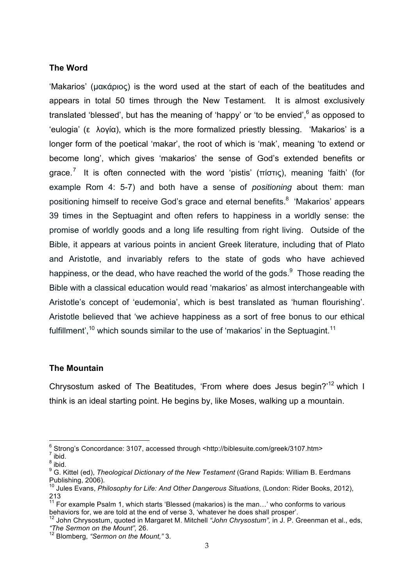#### **The Word**

'Makarios' (µακάριος) is the word used at the start of each of the beatitudes and appears in total 50 times through the New Testament. It is almost exclusively translated 'blessed', but has the meaning of 'happy' or 'to be envied', <sup>6</sup> as opposed to 'eulogia' (ελογία), which is the more formalized priestly blessing. 'Makarios' is a longer form of the poetical 'makar', the root of which is 'mak', meaning 'to extend or become long', which gives 'makarios' the sense of God's extended benefits or grace.<sup>7</sup> It is often connected with the word 'pistis' (πίστις), meaning 'faith' (for example Rom 4: 5-7) and both have a sense of *positioning* about them: man positioning himself to receive God's grace and eternal benefits.<sup>8</sup> 'Makarios' appears 39 times in the Septuagint and often refers to happiness in a worldly sense: the promise of worldly goods and a long life resulting from right living. Outside of the Bible, it appears at various points in ancient Greek literature, including that of Plato and Aristotle, and invariably refers to the state of gods who have achieved happiness, or the dead, who have reached the world of the gods. $9$  Those reading the Bible with a classical education would read 'makarios' as almost interchangeable with Aristotle's concept of 'eudemonia', which is best translated as 'human flourishing'. Aristotle believed that 'we achieve happiness as a sort of free bonus to our ethical fulfillment',<sup>10</sup> which sounds similar to the use of 'makarios' in the Septuagint.<sup>11</sup>

## **The Mountain**

Chrysostum asked of The Beatitudes, 'From where does Jesus begin?'<sup>12</sup> which I think is an ideal starting point. He begins by, like Moses, walking up a mountain.

 $\frac{6}{7}$  Strong's Concordance: 3107, accessed through <http://biblesuite.com/greek/3107.htm><br> $\frac{7}{7}$ ibid.

 $8$  ibid.

<sup>&</sup>lt;sup>9</sup> G. Kittel (ed), *Theological Dictionary of the New Testament* (Grand Rapids: William B. Eerdmans Publishing, 2006).

<sup>10</sup> Jules Evans, *Philosophy for Life: And Other Dangerous Situations*, (London: Rider Books, 2012), 213

 $11$  For example Psalm 1, which starts 'Blessed (makarios) is the man...' who conforms to various behaviors for, we are told at the end of verse 3, 'whatever he does shall prosper'.

<sup>12</sup> John Chrysostum, quoted in Margaret M. Mitchell *"John Chrysostum",* in J. P. Greenman et al., eds, *"The Sermon on the Mount",* 26.

<sup>12</sup> Blomberg, *"Sermon on the Mount,"* 3.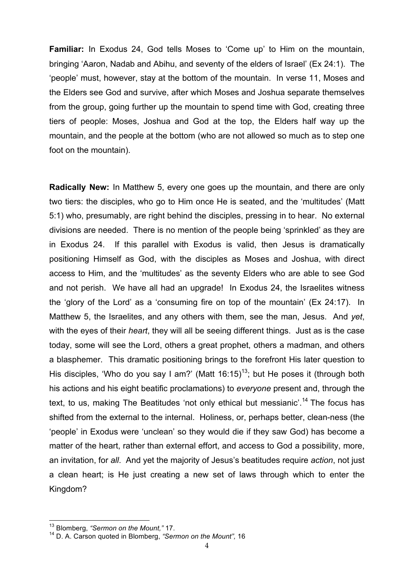**Familiar:** In Exodus 24, God tells Moses to 'Come up' to Him on the mountain, bringing 'Aaron, Nadab and Abihu, and seventy of the elders of Israel' (Ex 24:1). The 'people' must, however, stay at the bottom of the mountain. In verse 11, Moses and the Elders see God and survive, after which Moses and Joshua separate themselves from the group, going further up the mountain to spend time with God, creating three tiers of people: Moses, Joshua and God at the top, the Elders half way up the mountain, and the people at the bottom (who are not allowed so much as to step one foot on the mountain).

**Radically New:** In Matthew 5, every one goes up the mountain, and there are only two tiers: the disciples, who go to Him once He is seated, and the 'multitudes' (Matt 5:1) who, presumably, are right behind the disciples, pressing in to hear. No external divisions are needed. There is no mention of the people being 'sprinkled' as they are in Exodus 24. If this parallel with Exodus is valid, then Jesus is dramatically positioning Himself as God, with the disciples as Moses and Joshua, with direct access to Him, and the 'multitudes' as the seventy Elders who are able to see God and not perish. We have all had an upgrade! In Exodus 24, the Israelites witness the 'glory of the Lord' as a 'consuming fire on top of the mountain' (Ex 24:17). In Matthew 5, the Israelites, and any others with them, see the man, Jesus. And *yet*, with the eyes of their *heart*, they will all be seeing different things. Just as is the case today, some will see the Lord, others a great prophet, others a madman, and others a blasphemer. This dramatic positioning brings to the forefront His later question to His disciples, 'Who do you say I am?' (Matt  $16:15$ )<sup>13</sup>; but He poses it (through both his actions and his eight beatific proclamations) to *everyone* present and, through the text, to us, making The Beatitudes 'not only ethical but messianic'.<sup>14</sup> The focus has shifted from the external to the internal. Holiness, or, perhaps better, clean-ness (the 'people' in Exodus were 'unclean' so they would die if they saw God) has become a matter of the heart, rather than external effort, and access to God a possibility, more, an invitation, for *all*. And yet the majority of Jesus's beatitudes require *action*, not just a clean heart; is He just creating a new set of laws through which to enter the Kingdom?

 <sup>13</sup> Blomberg, *"Sermon on the Mount,"* 17.

<sup>14</sup> D. A. Carson quoted in Blomberg, *"Sermon on the Mount",* 16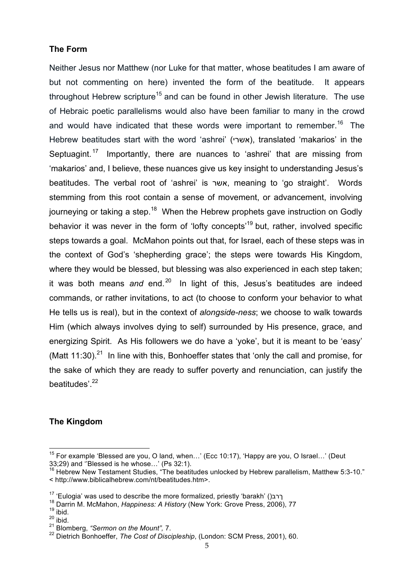## **The Form**

Neither Jesus nor Matthew (nor Luke for that matter, whose beatitudes I am aware of but not commenting on here) invented the form of the beatitude. It appears throughout Hebrew scripture<sup>15</sup> and can be found in other Jewish literature. The use of Hebraic poetic parallelisms would also have been familiar to many in the crowd and would have indicated that these words were important to remember.<sup>16</sup> The Hebrew beatitudes start with the word 'ashrei' (אשרי), translated 'makarios' in the Septuagint.<sup>17</sup> Importantly, there are nuances to 'ashrei' that are missing from 'makarios' and, I believe, these nuances give us key insight to understanding Jesus's beatitudes. The verbal root of 'ashrei' is אשר, meaning to 'go straight'. Words stemming from this root contain a sense of movement, or advancement, involving journeying or taking a step.<sup>18</sup> When the Hebrew prophets gave instruction on Godly behavior it was never in the form of 'lofty concepts'<sup>19</sup> but, rather, involved specific steps towards a goal. McMahon points out that, for Israel, each of these steps was in the context of God's 'shepherding grace'; the steps were towards His Kingdom, where they would be blessed, but blessing was also experienced in each step taken; it was both means *and* end. 20 In light of this, Jesus's beatitudes are indeed commands, or rather invitations, to act (to choose to conform your behavior to what He tells us is real), but in the context of *alongside-ness*; we choose to walk towards Him (which always involves dying to self) surrounded by His presence, grace, and energizing Spirit. As His followers we do have a 'yoke', but it is meant to be 'easy' (Matt  $11:30$ )<sup>21</sup> In line with this, Bonhoeffer states that 'only the call and promise, for the sake of which they are ready to suffer poverty and renunciation, can justify the beatitudes'.<sup>22</sup>

## **The Kingdom**

<sup>&</sup>lt;sup>15</sup> For example 'Blessed are you, O land, when...' (Ecc 10:17), 'Happy are you, O Israel...' (Deut 33:29) and ''Blessed is he whose...' (Ps 32:1).

<sup>&</sup>lt;sup>33</sup>;29) and 'Blessed is he whose… (Ps 32:1). 16 Hebrew Hebrew parallelism, Matthew 5:3-10." < http://www.biblicalhebrew.com/nt/beatitudes.htm>.

<sup>17</sup> 'Eulogia' was used to describe the more formalized, priestly 'barakh' ()ךרב <sup>18</sup> Darrin M. McMahon, *Happiness: A History* (New York: Grove Press, 2006), 77 <sup>19</sup> ibid.

 $20$  ibid.

<sup>21</sup> Blomberg, *"Sermon on the Mount",* 7.

<sup>22</sup> Dietrich Bonhoeffer, *The Cost of Discipleship*, (London: SCM Press, 2001), 60.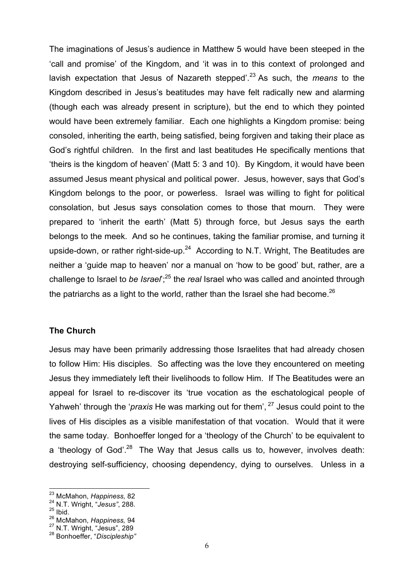The imaginations of Jesus's audience in Matthew 5 would have been steeped in the 'call and promise' of the Kingdom, and 'it was in to this context of prolonged and lavish expectation that Jesus of Nazareth stepped'.<sup>23</sup> As such, the *means* to the Kingdom described in Jesus's beatitudes may have felt radically new and alarming (though each was already present in scripture), but the end to which they pointed would have been extremely familiar. Each one highlights a Kingdom promise: being consoled, inheriting the earth, being satisfied, being forgiven and taking their place as God's rightful children. In the first and last beatitudes He specifically mentions that 'theirs is the kingdom of heaven' (Matt 5: 3 and 10). By Kingdom, it would have been assumed Jesus meant physical and political power. Jesus, however, says that God's Kingdom belongs to the poor, or powerless. Israel was willing to fight for political consolation, but Jesus says consolation comes to those that mourn. They were prepared to 'inherit the earth' (Matt 5) through force, but Jesus says the earth belongs to the meek. And so he continues, taking the familiar promise, and turning it upside-down, or rather right-side-up. $24$  According to N.T. Wright, The Beatitudes are neither a 'guide map to heaven' nor a manual on 'how to be good' but, rather, are a challenge to Israel to *be Israel*<sup>1</sup>;<sup>25</sup> the *real* Israel who was called and anointed through the patriarchs as a light to the world, rather than the Israel she had become.<sup>26</sup>

#### **The Church**

Jesus may have been primarily addressing those Israelites that had already chosen to follow Him: His disciples. So affecting was the love they encountered on meeting Jesus they immediately left their livelihoods to follow Him. If The Beatitudes were an appeal for Israel to re-discover its 'true vocation as the eschatological people of Yahweh' through the '*praxis* He was marking out for them', <sup>27</sup> Jesus could point to the lives of His disciples as a visible manifestation of that vocation. Would that it were the same today. Bonhoeffer longed for a 'theology of the Church' to be equivalent to a 'theology of God'.<sup>28</sup> The Way that Jesus calls us to, however, involves death: destroying self-sufficiency, choosing dependency, dying to ourselves. Unless in a

 <sup>23</sup> McMahon, *Happiness,* <sup>82</sup>

<sup>24</sup> N.T. Wright, "*Jesus"*, 288.

 $25$  Ibid.

<sup>26</sup> McMahon, *Happiness,* 94

<sup>&</sup>lt;sup>27</sup> N.T. Wright, "Jesus", 289<br><sup>28</sup> Bonhoeffer, "*Discipleship"*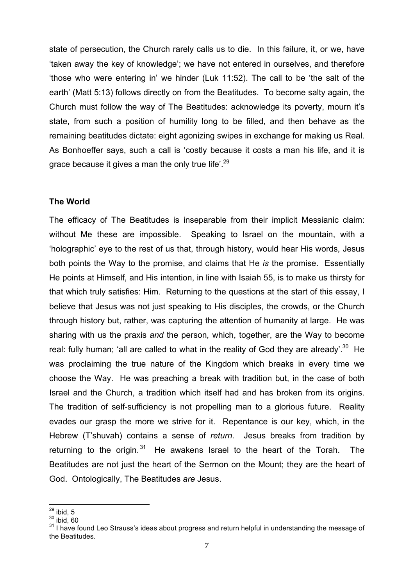state of persecution, the Church rarely calls us to die. In this failure, it, or we, have 'taken away the key of knowledge'; we have not entered in ourselves, and therefore 'those who were entering in' we hinder (Luk 11:52). The call to be 'the salt of the earth' (Matt 5:13) follows directly on from the Beatitudes. To become salty again, the Church must follow the way of The Beatitudes: acknowledge its poverty, mourn it's state, from such a position of humility long to be filled, and then behave as the remaining beatitudes dictate: eight agonizing swipes in exchange for making us Real. As Bonhoeffer says, such a call is 'costly because it costs a man his life, and it is grace because it gives a man the only true life<sup>'.29</sup>

#### **The World**

The efficacy of The Beatitudes is inseparable from their implicit Messianic claim: without Me these are impossible. Speaking to Israel on the mountain, with a 'holographic' eye to the rest of us that, through history, would hear His words, Jesus both points the Way to the promise, and claims that He *is* the promise. Essentially He points at Himself, and His intention, in line with Isaiah 55, is to make us thirsty for that which truly satisfies: Him. Returning to the questions at the start of this essay, I believe that Jesus was not just speaking to His disciples, the crowds, or the Church through history but, rather, was capturing the attention of humanity at large. He was sharing with us the praxis *and* the person*,* which, together, are the Way to become real: fully human; 'all are called to what in the reality of God they are already'.<sup>30</sup> He was proclaiming the true nature of the Kingdom which breaks in every time we choose the Way. He was preaching a break with tradition but, in the case of both Israel and the Church, a tradition which itself had and has broken from its origins. The tradition of self-sufficiency is not propelling man to a glorious future. Reality evades our grasp the more we strive for it. Repentance is our key, which, in the Hebrew (T'shuvah) contains a sense of *return*. Jesus breaks from tradition by returning to the origin.  $31$  He awakens Israel to the heart of the Torah. The Beatitudes are not just the heart of the Sermon on the Mount; they are the heart of God. Ontologically, The Beatitudes *are* Jesus.

 $\frac{29}{29}$  ibid, 5

 $30$  ibid, 60

<sup>&</sup>lt;sup>31</sup> I have found Leo Strauss's ideas about progress and return helpful in understanding the message of the Beatitudes.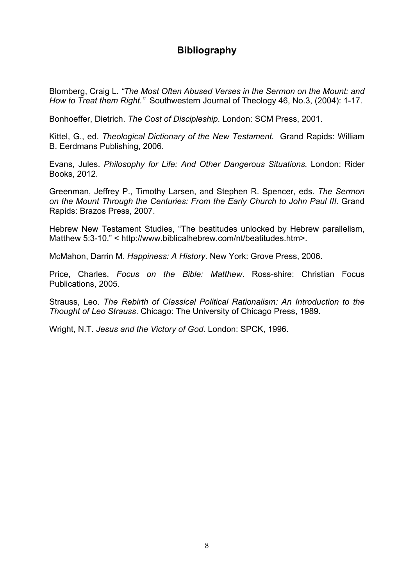# **Bibliography**

Blomberg, Craig L. *"The Most Often Abused Verses in the Sermon on the Mount: and How to Treat them Right."* Southwestern Journal of Theology 46, No.3, (2004): 1-17.

Bonhoeffer, Dietrich. *The Cost of Discipleship*. London: SCM Press, 2001.

Kittel, G., ed. *Theological Dictionary of the New Testament.* Grand Rapids: William B. Eerdmans Publishing, 2006.

Evans, Jules. *Philosophy for Life: And Other Dangerous Situations.* London: Rider Books, 2012.

Greenman, Jeffrey P., Timothy Larsen, and Stephen R. Spencer, eds. *The Sermon on the Mount Through the Centuries: From the Early Church to John Paul III.* Grand Rapids: Brazos Press, 2007.

Hebrew New Testament Studies, "The beatitudes unlocked by Hebrew parallelism, Matthew 5:3-10." < http://www.biblicalhebrew.com/nt/beatitudes.htm>.

McMahon, Darrin M. *Happiness: A History*. New York: Grove Press, 2006.

Price, Charles. *Focus on the Bible: Matthew*. Ross-shire: Christian Focus Publications, 2005.

Strauss, Leo. *The Rebirth of Classical Political Rationalism: An Introduction to the Thought of Leo Strauss*. Chicago: The University of Chicago Press, 1989.

Wright, N.T. *Jesus and the Victory of God.* London: SPCK, 1996.